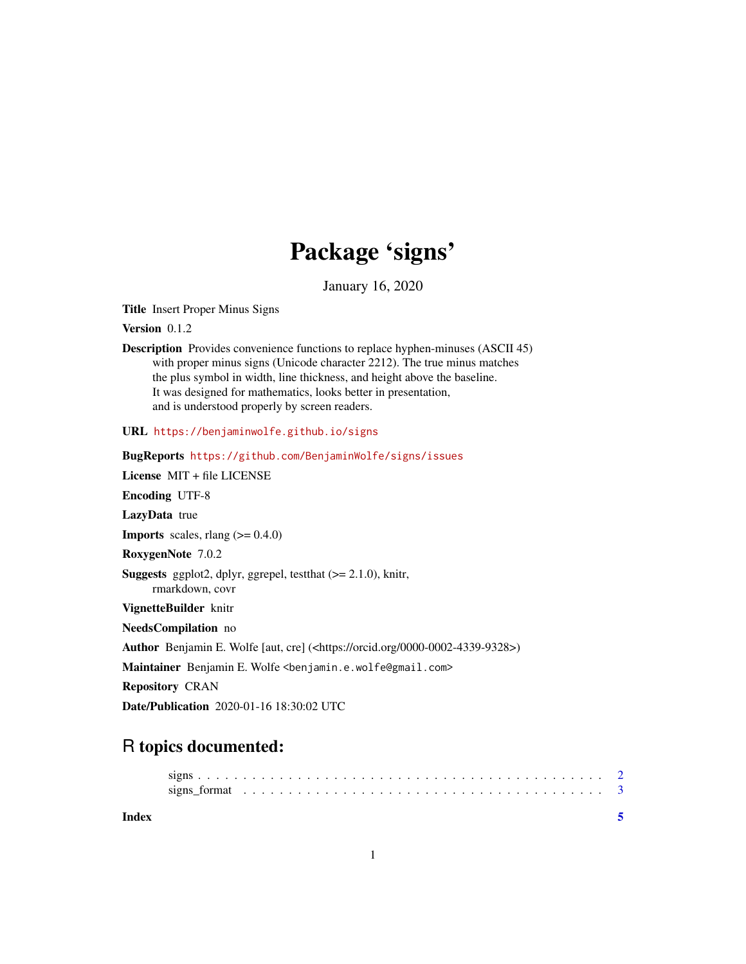## Package 'signs'

January 16, 2020

<span id="page-0-0"></span>Title Insert Proper Minus Signs

Version 0.1.2

Description Provides convenience functions to replace hyphen-minuses (ASCII 45) with proper minus signs (Unicode character 2212). The true minus matches the plus symbol in width, line thickness, and height above the baseline. It was designed for mathematics, looks better in presentation, and is understood properly by screen readers.

URL <https://benjaminwolfe.github.io/signs>

BugReports <https://github.com/BenjaminWolfe/signs/issues> License MIT + file LICENSE Encoding UTF-8 LazyData true **Imports** scales, rlang  $(>= 0.4.0)$ RoxygenNote 7.0.2 **Suggests** ggplot2, dplyr, ggrepel, test that  $(>= 2.1.0)$ , knitr, rmarkdown, covr VignetteBuilder knitr NeedsCompilation no Author Benjamin E. Wolfe [aut, cre] (<https://orcid.org/0000-0002-4339-9328>) Maintainer Benjamin E. Wolfe <benjamin.e.wolfe@gmail.com> Repository CRAN Date/Publication 2020-01-16 18:30:02 UTC

### R topics documented:

**Index** [5](#page-4-0). The second state of the second state of the second state of the second state of the second state of the second state of the second state of the second state of the second state of the second state of the second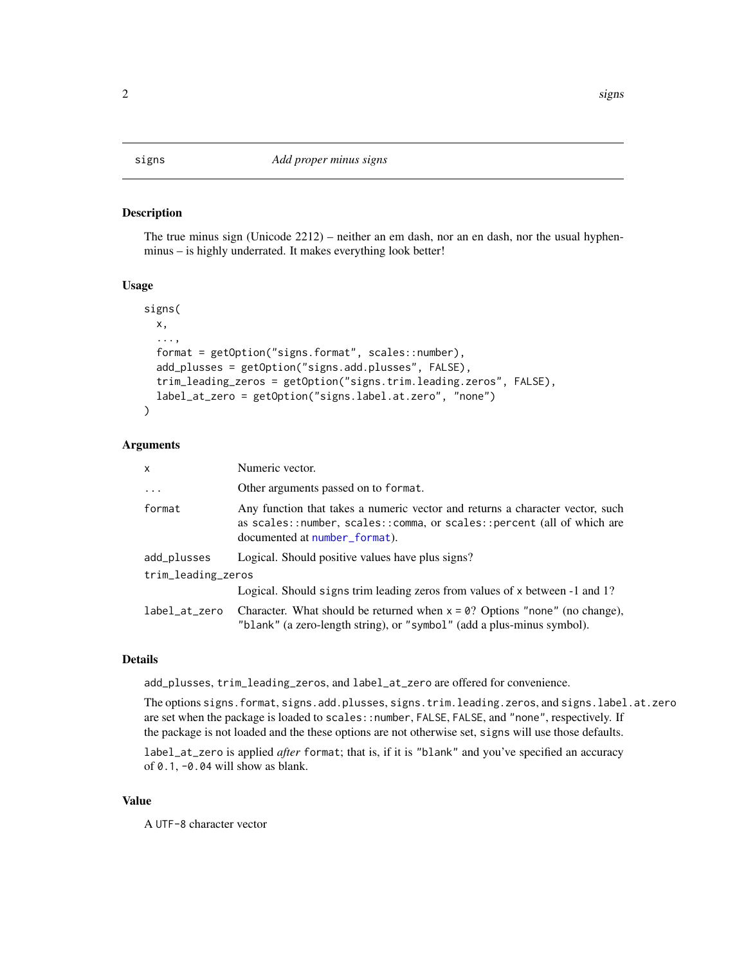<span id="page-1-1"></span><span id="page-1-0"></span>

#### Description

The true minus sign (Unicode 2212) – neither an em dash, nor an en dash, nor the usual hyphenminus – is highly underrated. It makes everything look better!

#### Usage

```
signs(
  x,
  ...,
  format = getOption("signs.format", scales::number),
  add_plusses = getOption("signs.add.plusses", FALSE),
  trim_leading_zeros = getOption("signs.trim.leading.zeros", FALSE),
  label_at_zero = getOption("signs.label.at.zero", "none")
\lambda
```
#### Arguments

| x                  | Numeric vector.                                                                                                                                                                          |
|--------------------|------------------------------------------------------------------------------------------------------------------------------------------------------------------------------------------|
| $\ddots$           | Other arguments passed on to format.                                                                                                                                                     |
| format             | Any function that takes a numeric vector and returns a character vector, such<br>as scales::number, scales::comma, or scales::percent (all of which are<br>documented at number_format). |
| add_plusses        | Logical. Should positive values have plus signs?                                                                                                                                         |
| trim_leading_zeros |                                                                                                                                                                                          |
|                    | Logical. Should signs trim leading zeros from values of x between -1 and 1?                                                                                                              |
| label_at_zero      | Character. What should be returned when $x = 0$ ? Options "none" (no change),<br>"blank" (a zero-length string), or "symbol" (add a plus-minus symbol).                                  |

#### Details

add\_plusses, trim\_leading\_zeros, and label\_at\_zero are offered for convenience.

The options signs.format, signs.add.plusses, signs.trim.leading.zeros, and signs.label.at.zero are set when the package is loaded to scales::number, FALSE, FALSE, and "none", respectively. If the package is not loaded and the these options are not otherwise set, signs will use those defaults.

label\_at\_zero is applied *after* format; that is, if it is "blank" and you've specified an accuracy of  $0.1$ ,  $-0.04$  will show as blank.

#### Value

A UTF-8 character vector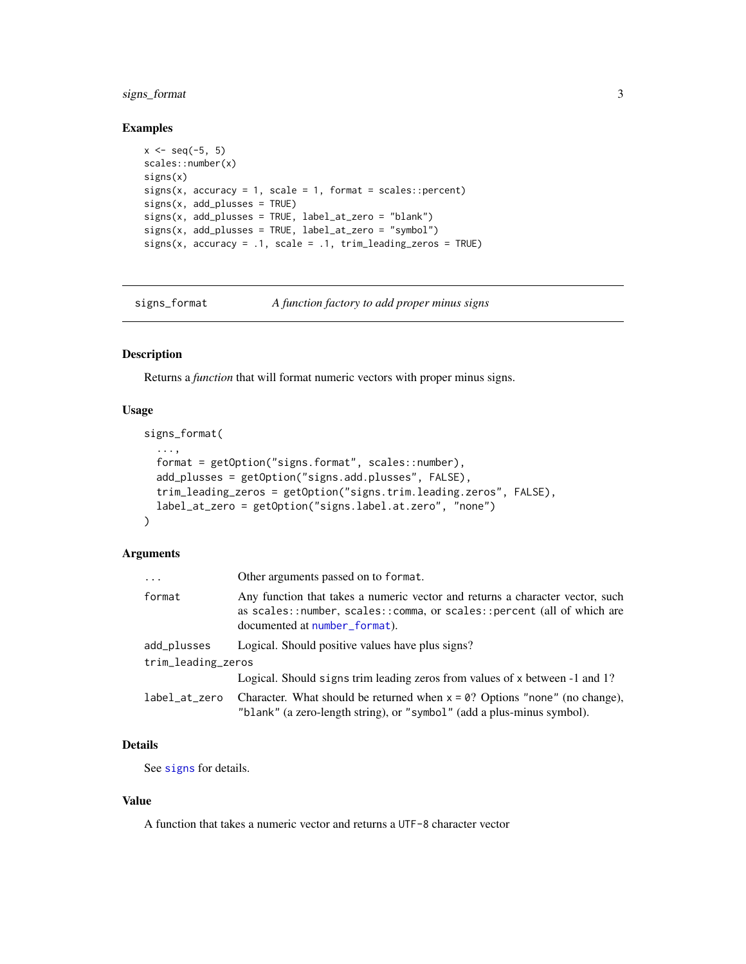#### <span id="page-2-0"></span>signs\_format 3

#### Examples

```
x \le - seq(-5, 5)
scales::number(x)
signs(x)
signs(x, accuracy = 1, scale = 1, format = scales::percent)signs(x, add_plusses = TRUE)
signs(x, add_plusses = TRUE, label_at_zero = "blank")
signs(x, add_plusses = TRUE, label_at_zero = "symbol")
signs(x, accuracy = .1, scale = .1, trim\_leading\_zeros = TRUE)
```
signs\_format *A function factory to add proper minus signs*

#### Description

Returns a *function* that will format numeric vectors with proper minus signs.

#### Usage

```
signs_format(
  ...,
  format = getOption("signs.format", scales::number),
  add_plusses = getOption("signs.add.plusses", FALSE),
  trim_leading_zeros = getOption("signs.trim.leading.zeros", FALSE),
  label_at_zero = getOption("signs.label.at.zero", "none")
\mathcal{L}
```
#### Arguments

| $\ddots$           | Other arguments passed on to format.                                                                                                                                                     |
|--------------------|------------------------------------------------------------------------------------------------------------------------------------------------------------------------------------------|
| format             | Any function that takes a numeric vector and returns a character vector, such<br>as scales::number, scales::comma, or scales::percent (all of which are<br>documented at number_format). |
| add_plusses        | Logical. Should positive values have plus signs?                                                                                                                                         |
| trim_leading_zeros |                                                                                                                                                                                          |
|                    | Logical. Should signs trim leading zeros from values of x between -1 and 1?                                                                                                              |
| label_at_zero      | Character. What should be returned when $x = 0$ ? Options "none" (no change),<br>"blank" (a zero-length string), or "symbol" (add a plus-minus symbol).                                  |

#### Details

See [signs](#page-1-1) for details.

#### Value

A function that takes a numeric vector and returns a UTF-8 character vector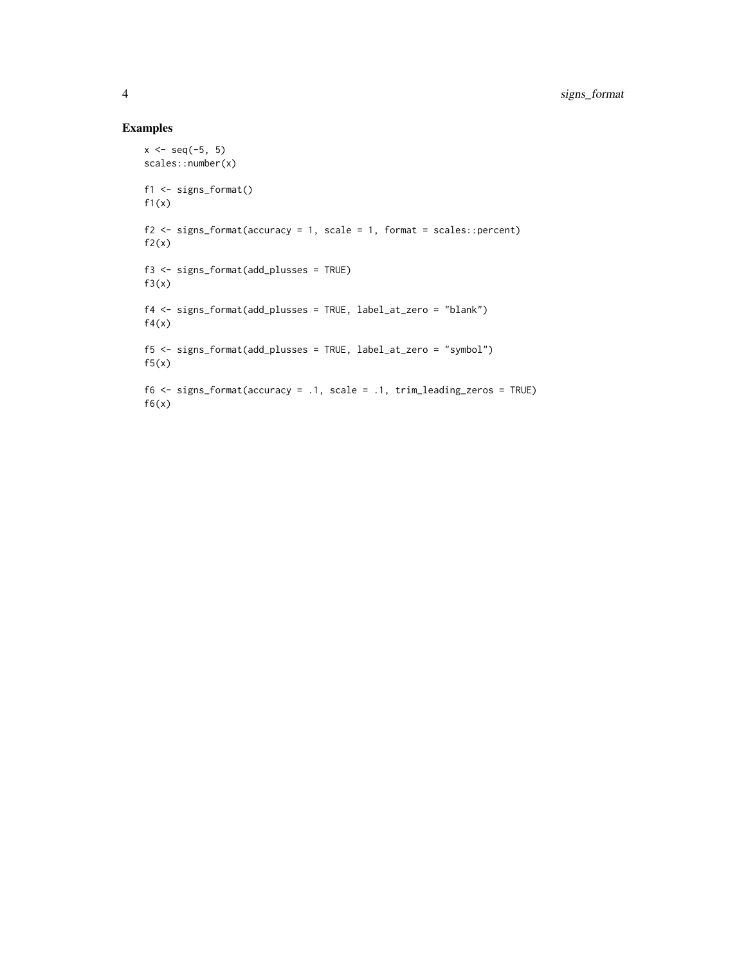#### Examples

```
x \le - seq(-5, 5)
scales::number(x)
f1 <- signs_format()
f1(x)f2 \le signs_format(accuracy = 1, scale = 1, format = scales::percent)
f2(x)f3 <- signs_format(add_plusses = TRUE)
f3(x)f4 <- signs_format(add_plusses = TRUE, label_at_zero = "blank")
f4(x)f5 <- signs_format(add_plusses = TRUE, label_at_zero = "symbol")
f5(x)f6 <- signs_format(accuracy = .1, scale = .1, trim_leading_zeros = TRUE)
f6(x)
```